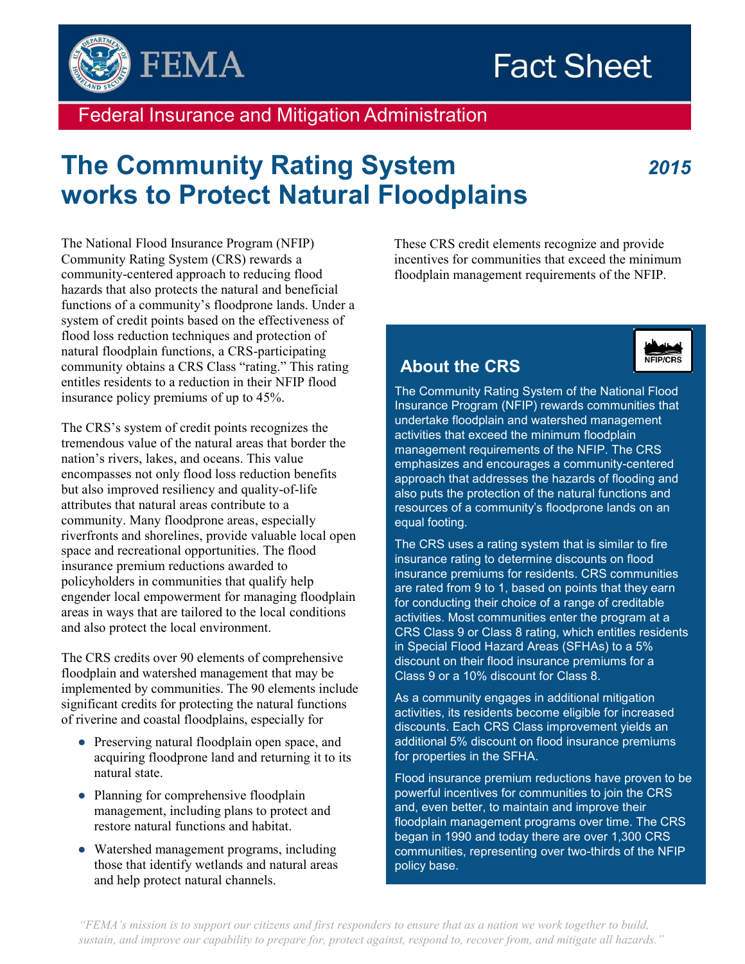



Federal Insurance and Mitigation Administration

# **The Community Rating System** *2015* **works to Protect Natural Floodplains**

The National Flood Insurance Program (NFIP) Community Rating System (CRS) rewards a community-centered approach to reducing flood hazards that also protects the natural and beneficial functions of a community's floodprone lands. Under a system of credit points based on the effectiveness of flood loss reduction techniques and protection of natural floodplain functions, a CRS-participating community obtains a CRS Class "rating." This rating entitles residents to a reduction in their NFIP flood insurance policy premiums of up to 45%.

The CRS's system of credit points recognizes the tremendous value of the natural areas that border the nation's rivers, lakes, and oceans. This value encompasses not only flood loss reduction benefits but also improved resiliency and quality-of-life attributes that natural areas contribute to a community. Many floodprone areas, especially riverfronts and shorelines, provide valuable local open space and recreational opportunities. The flood insurance premium reductions awarded to policyholders in communities that qualify help engender local empowerment for managing floodplain areas in ways that are tailored to the local conditions and also protect the local environment.

The CRS credits over 90 elements of comprehensive floodplain and watershed management that may be implemented by communities. The 90 elements include significant credits for protecting the natural functions of riverine and coastal floodplains, especially for

- Preserving natural floodplain open space, and acquiring floodprone land and returning it to its natural state.
- Planning for comprehensive floodplain management, including plans to protect and restore natural functions and habitat.
- Watershed management programs, including those that identify wetlands and natural areas and help protect natural channels.

These CRS credit elements recognize and provide incentives for communities that exceed the minimum floodplain management requirements of the NFIP.

# **About the CRS**

The Community Rating System of the National Flood Insurance Program (NFIP) rewards communities that undertake floodplain and watershed management activities that exceed the minimum floodplain management requirements of the NFIP. The CRS emphasizes and encourages a community-centered approach that addresses the hazards of flooding and also puts the protection of the natural functions and resources of a community's floodprone lands on an equal footing.

The CRS uses a rating system that is similar to fire insurance rating to determine discounts on flood insurance premiums for residents. CRS communities are rated from 9 to 1, based on points that they earn for conducting their choice of a range of creditable activities. Most communities enter the program at a CRS Class 9 or Class 8 rating, which entitles residents in Special Flood Hazard Areas (SFHAs) to a 5% discount on their flood insurance premiums for a Class 9 or a 10% discount for Class 8.

As a community engages in additional mitigation activities, its residents become eligible for increased discounts. Each CRS Class improvement yields an additional 5% discount on flood insurance premiums for properties in the SFHA.

Flood insurance premium reductions have proven to be powerful incentives for communities to join the CRS and, even better, to maintain and improve their floodplain management programs over time. The CRS began in 1990 and today there are over 1,300 CRS communities, representing over two-thirds of the NFIP policy base.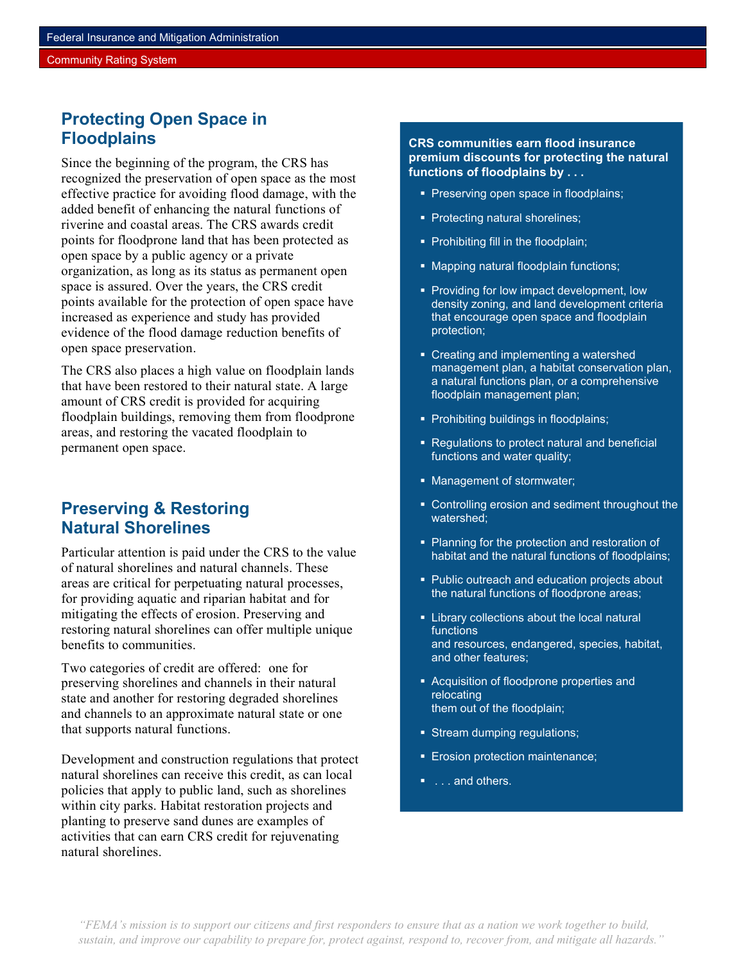#### Community Rating System

### **Protecting Open Space in Floodplains**

Since the beginning of the program, the CRS has recognized the preservation of open space as the most effective practice for avoiding flood damage, with the added benefit of enhancing the natural functions of riverine and coastal areas. The CRS awards credit points for floodprone land that has been protected as open space by a public agency or a private organization, as long as its status as permanent open space is assured. Over the years, the CRS credit points available for the protection of open space have increased as experience and study has provided evidence of the flood damage reduction benefits of open space preservation.

The CRS also places a high value on floodplain lands that have been restored to their natural state. A large amount of CRS credit is provided for acquiring floodplain buildings, removing them from floodprone areas, and restoring the vacated floodplain to permanent open space.

#### **Preserving & Restoring Natural Shorelines**

Particular attention is paid under the CRS to the value of natural shorelines and natural channels. These areas are critical for perpetuating natural processes, for providing aquatic and riparian habitat and for mitigating the effects of erosion. Preserving and restoring natural shorelines can offer multiple unique benefits to communities.

Two categories of credit are offered: one for preserving shorelines and channels in their natural state and another for restoring degraded shorelines and channels to an approximate natural state or one that supports natural functions.

Development and construction regulations that protect natural shorelines can receive this credit, as can local policies that apply to public land, such as shorelines within city parks. Habitat restoration projects and planting to preserve sand dunes are examples of activities that can earn CRS credit for rejuvenating natural shorelines.

**CRS communities earn flood insurance premium discounts for protecting the natural functions of floodplains by . . .** 

- Preserving open space in floodplains;
- **Protecting natural shorelines;**
- Prohibiting fill in the floodplain;
- Mapping natural floodplain functions;
- **Providing for low impact development, low** density zoning, and land development criteria that encourage open space and floodplain protection;
- Creating and implementing a watershed management plan, a habitat conservation plan, a natural functions plan, or a comprehensive floodplain management plan;
- **Prohibiting buildings in floodplains;**
- Regulations to protect natural and beneficial functions and water quality;
- Management of stormwater;
- Controlling erosion and sediment throughout the watershed;
- Planning for the protection and restoration of habitat and the natural functions of floodplains;
- **Public outreach and education projects about** the natural functions of floodprone areas;
- **EXTERN** Library collections about the local natural functions and resources, endangered, species, habitat, and other features;
- **Acquisition of floodprone properties and** relocating them out of the floodplain;
- **Stream dumping regulations;**
- **Erosion protection maintenance;**
- $\blacksquare$ ... and others.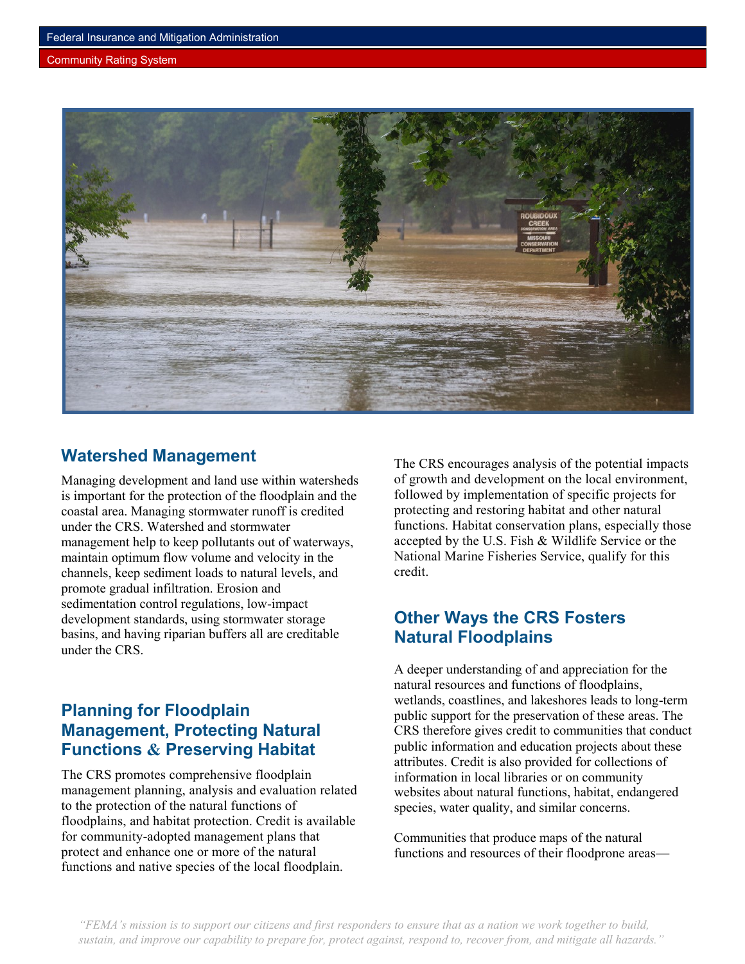#### Community Rating System



### **Watershed Management**

Managing development and land use within watersheds is important for the protection of the floodplain and the coastal area. Managing stormwater runoff is credited under the CRS. Watershed and stormwater management help to keep pollutants out of waterways, maintain optimum flow volume and velocity in the channels, keep sediment loads to natural levels, and promote gradual infiltration. Erosion and sedimentation control regulations, low-impact development standards, using stormwater storage basins, and having riparian buffers all are creditable under the CRS.

# **Planning for Floodplain Management, Protecting Natural Functions & Preserving Habitat**

The CRS promotes comprehensive floodplain management planning, analysis and evaluation related to the protection of the natural functions of floodplains, and habitat protection. Credit is available for community-adopted management plans that protect and enhance one or more of the natural functions and native species of the local floodplain.

The CRS encourages analysis of the potential impacts of growth and development on the local environment, followed by implementation of specific projects for protecting and restoring habitat and other natural functions. Habitat conservation plans, especially those accepted by the U.S. Fish & Wildlife Service or the National Marine Fisheries Service, qualify for this credit.

# **Other Ways the CRS Fosters Natural Floodplains**

A deeper understanding of and appreciation for the natural resources and functions of floodplains, wetlands, coastlines, and lakeshores leads to long-term public support for the preservation of these areas. The CRS therefore gives credit to communities that conduct public information and education projects about these attributes. Credit is also provided for collections of information in local libraries or on community websites about natural functions, habitat, endangered species, water quality, and similar concerns.

Communities that produce maps of the natural functions and resources of their floodprone areas—